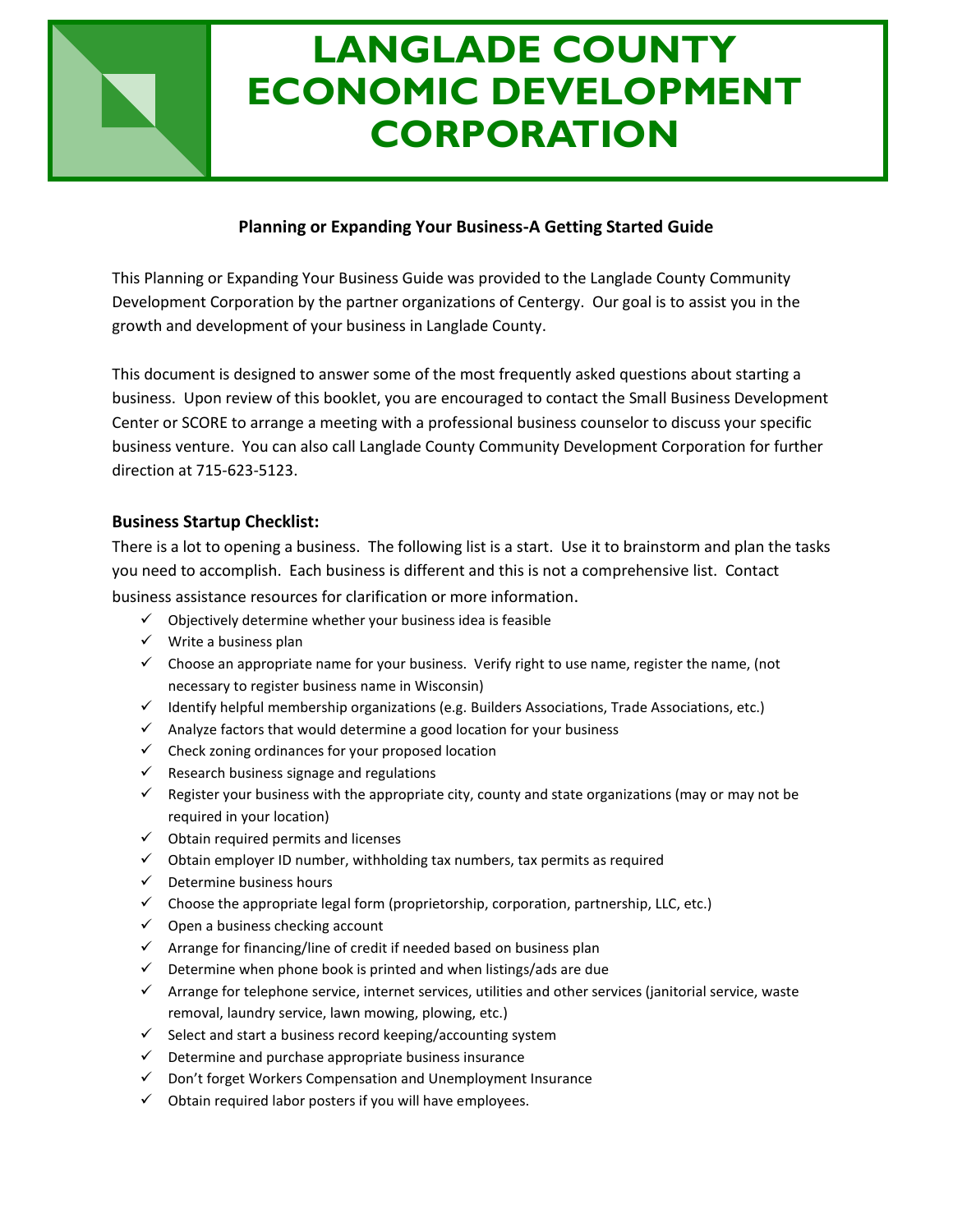# **LANGLADE COUNTY ECONOMIC DEVELOPMENT CORPORATION**

# **Planning or Expanding Your Business-A Getting Started Guide**

This Planning or Expanding Your Business Guide was provided to the Langlade County Community Development Corporation by the partner organizations of Centergy. Our goal is to assist you in the growth and development of your business in Langlade County.

This document is designed to answer some of the most frequently asked questions about starting a business. Upon review of this booklet, you are encouraged to contact the Small Business Development Center or SCORE to arrange a meeting with a professional business counselor to discuss your specific business venture. You can also call Langlade County Community Development Corporation for further direction at 715-623-5123.

## **Business Startup Checklist:**

There is a lot to opening a business. The following list is a start. Use it to brainstorm and plan the tasks you need to accomplish. Each business is different and this is not a comprehensive list. Contact business assistance resources for clarification or more information.

- $\checkmark$  Objectively determine whether your business idea is feasible
- $\checkmark$  Write a business plan
- $\checkmark$  Choose an appropriate name for your business. Verify right to use name, register the name, (not necessary to register business name in Wisconsin)
- $\checkmark$  Identify helpful membership organizations (e.g. Builders Associations, Trade Associations, etc.)
- $\checkmark$  Analyze factors that would determine a good location for your business
- $\checkmark$  Check zoning ordinances for your proposed location
- $\checkmark$  Research business signage and regulations
- $\checkmark$  Register your business with the appropriate city, county and state organizations (may or may not be required in your location)
- $\checkmark$  Obtain required permits and licenses
- $\checkmark$  Obtain employer ID number, withholding tax numbers, tax permits as required
- $\checkmark$  Determine business hours
- $\checkmark$  Choose the appropriate legal form (proprietorship, corporation, partnership, LLC, etc.)
- $\checkmark$  Open a business checking account
- $\checkmark$  Arrange for financing/line of credit if needed based on business plan
- $\checkmark$  Determine when phone book is printed and when listings/ads are due
- $\checkmark$  Arrange for telephone service, internet services, utilities and other services (janitorial service, waste removal, laundry service, lawn mowing, plowing, etc.)
- $\checkmark$  Select and start a business record keeping/accounting system
- $\checkmark$  Determine and purchase appropriate business insurance
- $\checkmark$  Don't forget Workers Compensation and Unemployment Insurance
- $\checkmark$  Obtain required labor posters if you will have employees.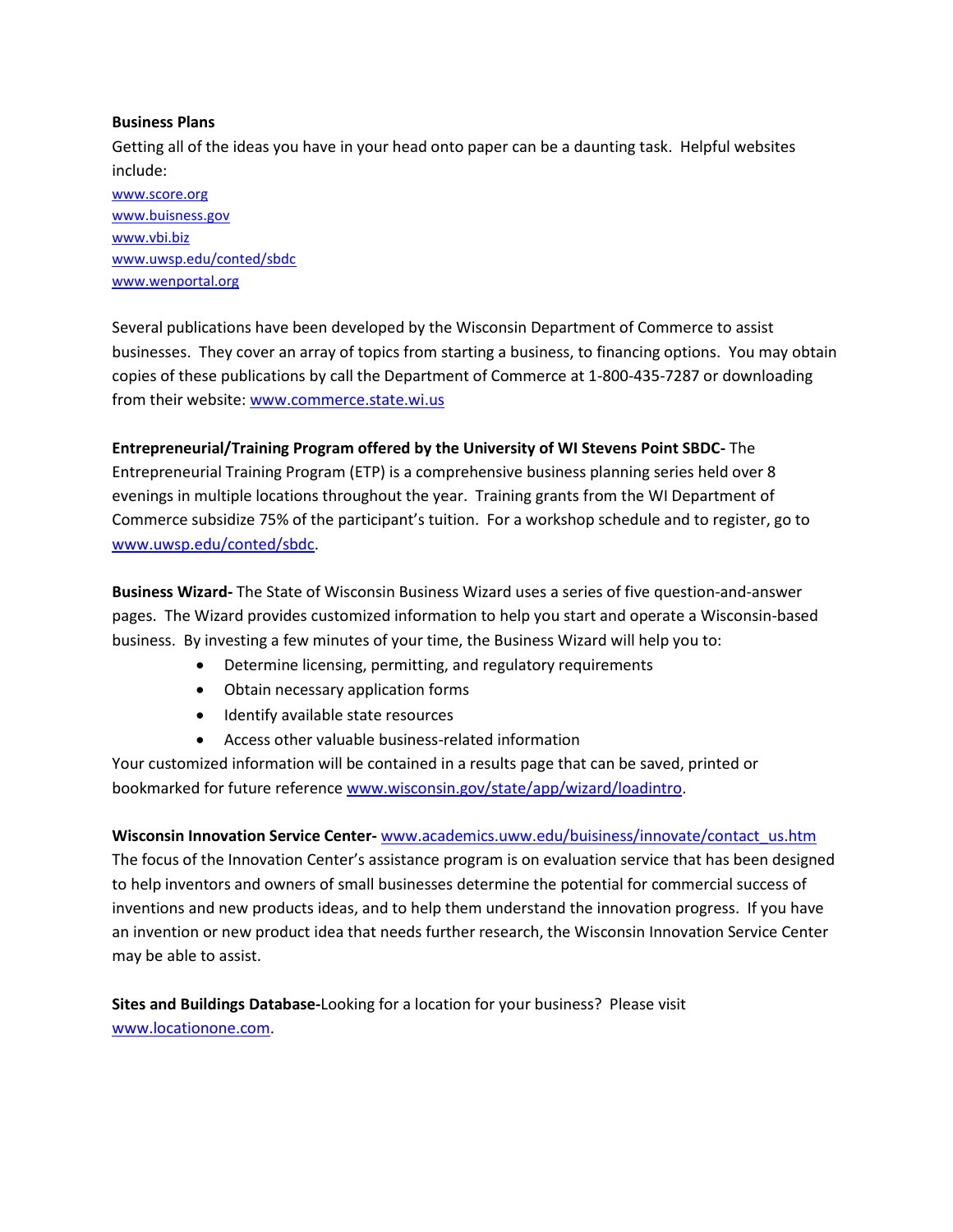#### **Business Plans**

Getting all of the ideas you have in your head onto paper can be a daunting task. Helpful websites include:

[www.score.org](http://www.score.org/) [www.buisness.gov](http://www.buisness.gov/) [www.vbi.biz](http://www.vbi.biz/) [www.uwsp.edu/conted/sbdc](http://www.uwsp.edu/conted/sbdc) [www.wenportal.org](http://www.wenportal.org/)

Several publications have been developed by the Wisconsin Department of Commerce to assist businesses. They cover an array of topics from starting a business, to financing options. You may obtain copies of these publications by call the Department of Commerce at 1-800-435-7287 or downloading from their website[: www.commerce.state.wi.us](http://www.commerce.state.wi.us/)

**Entrepreneurial/Training Program offered by the University of WI Stevens Point SBDC-** The Entrepreneurial Training Program (ETP) is a comprehensive business planning series held over 8 evenings in multiple locations throughout the year. Training grants from the WI Department of Commerce subsidize 75% of the participant's tuition. For a workshop schedule and to register, go to [www.uwsp.edu/conted/sbdc.](http://www.uwsp.edu/conted/sbdc)

**Business Wizard-** The State of Wisconsin Business Wizard uses a series of five question-and-answer pages. The Wizard provides customized information to help you start and operate a Wisconsin-based business. By investing a few minutes of your time, the Business Wizard will help you to:

- Determine licensing, permitting, and regulatory requirements
- Obtain necessary application forms
- Identify available state resources
- Access other valuable business-related information

Your customized information will be contained in a results page that can be saved, printed or bookmarked for future referenc[e www.wisconsin.gov/state/app/wizard/loadintro.](http://www.wisconsin.gov/state/app/wizard/loadintro)

#### **Wisconsin Innovation Service Center-** [www.academics.uww.edu/buisiness/innovate/contact\\_us.htm](http://www.academics.uww.edu/buisiness/innovate/contact_us.htm)

The focus of the Innovation Center's assistance program is on evaluation service that has been designed to help inventors and owners of small businesses determine the potential for commercial success of inventions and new products ideas, and to help them understand the innovation progress. If you have an invention or new product idea that needs further research, the Wisconsin Innovation Service Center may be able to assist.

**Sites and Buildings Database-**Looking for a location for your business? Please visit [www.locationone.com.](http://www.locationone.com/)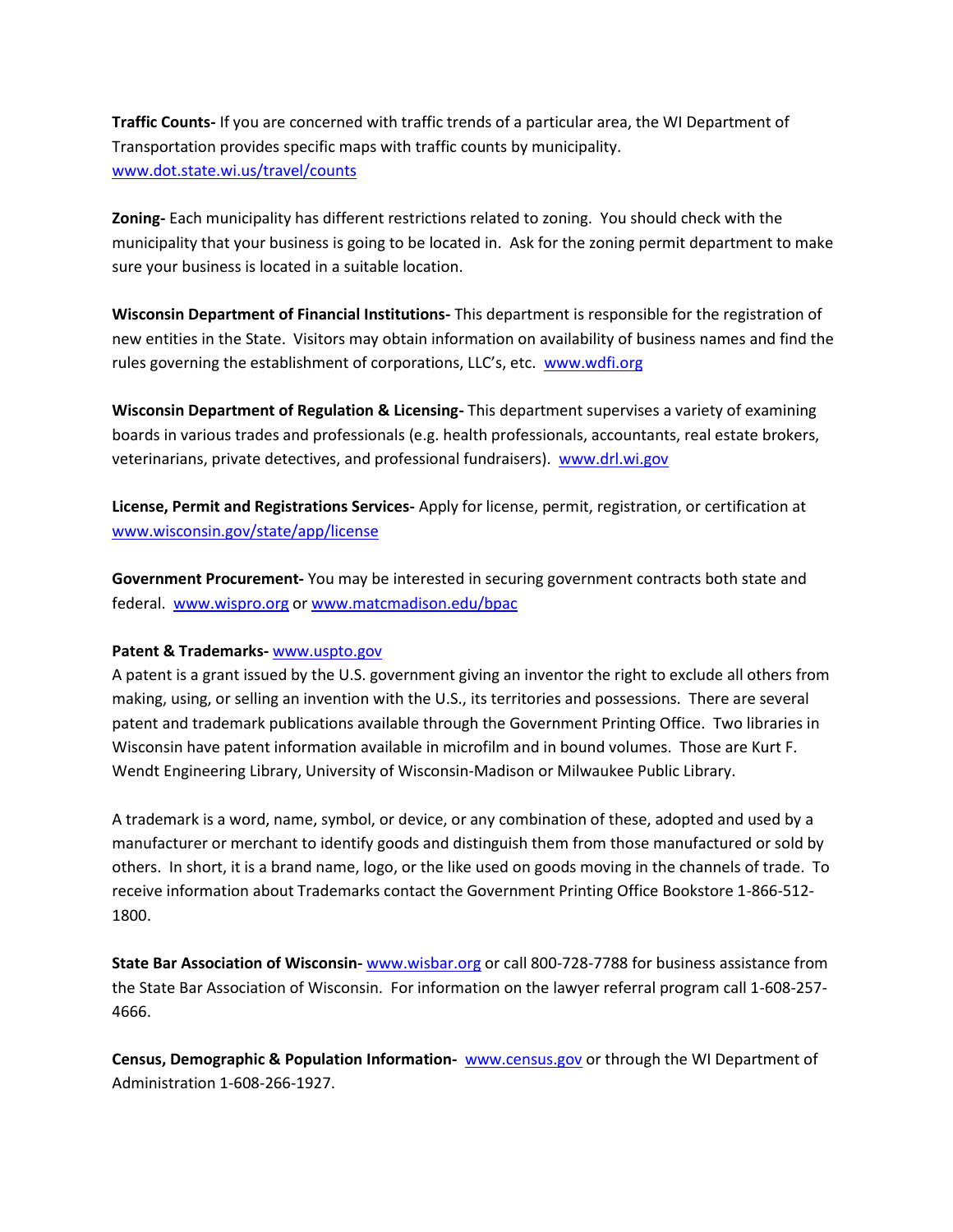**Traffic Counts-** If you are concerned with traffic trends of a particular area, the WI Department of Transportation provides specific maps with traffic counts by municipality. [www.dot.state.wi.us/travel/counts](http://www.dot.state.wi.us/travel/counts)

**Zoning-** Each municipality has different restrictions related to zoning. You should check with the municipality that your business is going to be located in. Ask for the zoning permit department to make sure your business is located in a suitable location.

**Wisconsin Department of Financial Institutions-** This department is responsible for the registration of new entities in the State. Visitors may obtain information on availability of business names and find the rules governing the establishment of corporations, LLC's, etc. [www.wdfi.org](http://www.wdfi.org/)

**Wisconsin Department of Regulation & Licensing-** This department supervises a variety of examining boards in various trades and professionals (e.g. health professionals, accountants, real estate brokers, veterinarians, private detectives, and professional fundraisers). [www.drl.wi.gov](http://www.drl.wi.gov/)

**License, Permit and Registrations Services-** Apply for license, permit, registration, or certification at [www.wisconsin.gov/state/app/license](http://www.wisconsin.gov/state/app/license)

**Government Procurement-** You may be interested in securing government contracts both state and federal. [www.wispro.org](http://www.wispro.org/) or [www.matcmadison.edu/bpac](http://www.matcmadison.edu/bpac)

#### **Patent & Trademarks-** [www.uspto.gov](http://www.uspto.gov/)

A patent is a grant issued by the U.S. government giving an inventor the right to exclude all others from making, using, or selling an invention with the U.S., its territories and possessions. There are several patent and trademark publications available through the Government Printing Office. Two libraries in Wisconsin have patent information available in microfilm and in bound volumes. Those are Kurt F. Wendt Engineering Library, University of Wisconsin-Madison or Milwaukee Public Library.

A trademark is a word, name, symbol, or device, or any combination of these, adopted and used by a manufacturer or merchant to identify goods and distinguish them from those manufactured or sold by others. In short, it is a brand name, logo, or the like used on goods moving in the channels of trade. To receive information about Trademarks contact the Government Printing Office Bookstore 1-866-512- 1800.

**State Bar Association of Wisconsin-** [www.wisbar.org](http://www.wisbar.org/) or call 800-728-7788 for business assistance from the State Bar Association of Wisconsin. For information on the lawyer referral program call 1-608-257- 4666.

**Census, Demographic & Population Information-** [www.census.gov](http://www.census.gov/) or through the WI Department of Administration 1-608-266-1927.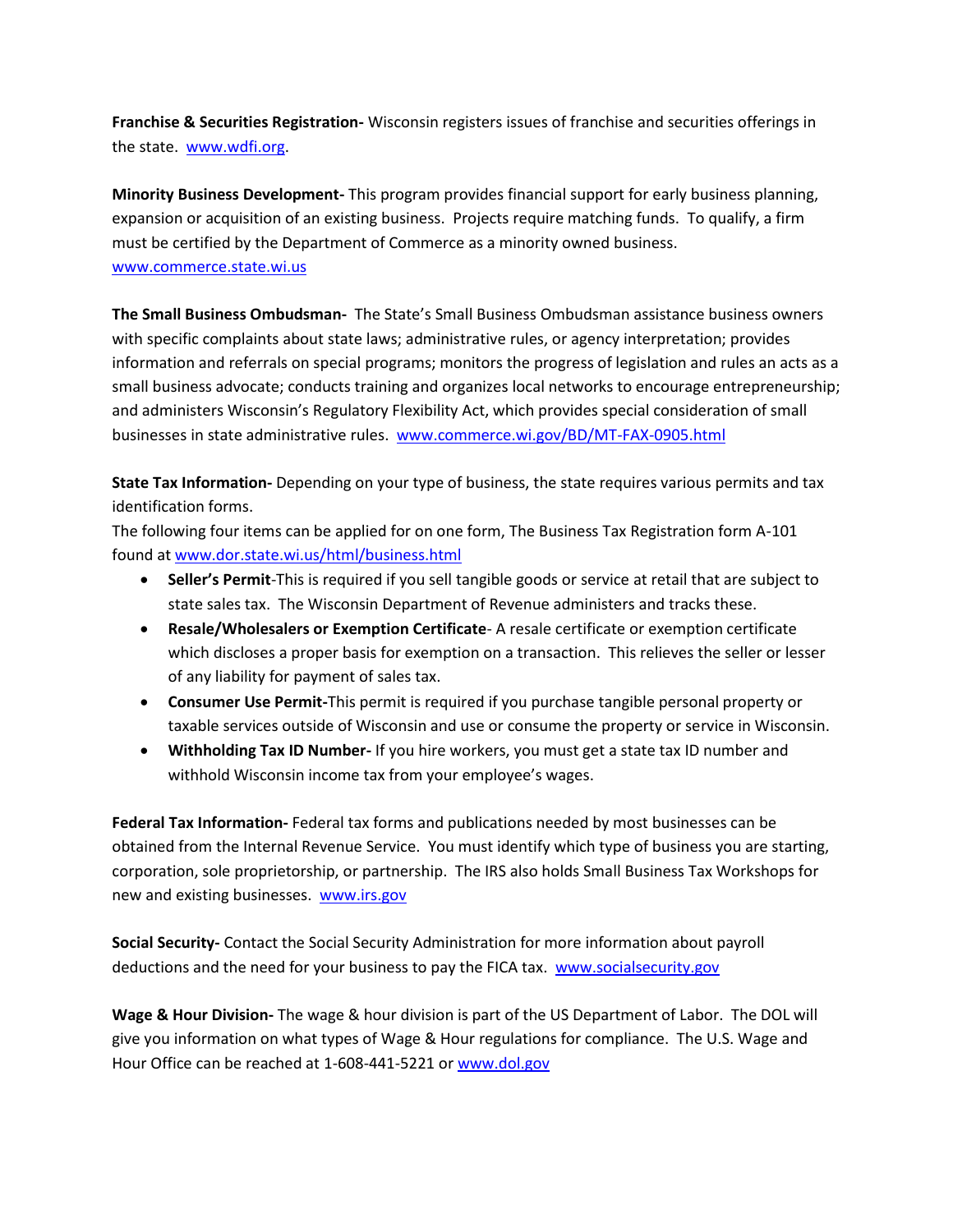**Franchise & Securities Registration-** Wisconsin registers issues of franchise and securities offerings in the state. [www.wdfi.org.](http://www.wdfi.org/)

**Minority Business Development-** This program provides financial support for early business planning, expansion or acquisition of an existing business. Projects require matching funds. To qualify, a firm must be certified by the Department of Commerce as a minority owned business. [www.commerce.state.wi.us](http://www.commerce.state.wi.us/)

**The Small Business Ombudsman-** The State's Small Business Ombudsman assistance business owners with specific complaints about state laws; administrative rules, or agency interpretation; provides information and referrals on special programs; monitors the progress of legislation and rules an acts as a small business advocate; conducts training and organizes local networks to encourage entrepreneurship; and administers Wisconsin's Regulatory Flexibility Act, which provides special consideration of small businesses in state administrative rules. [www.commerce.wi.gov/BD/MT-FAX-0905.html](http://www.commerce.wi.gov/BD/MT-FAX-0905.html)

**State Tax Information-** Depending on your type of business, the state requires various permits and tax identification forms.

The following four items can be applied for on one form, The Business Tax Registration form A-101 found a[t www.dor.state.wi.us/html/business.html](http://www.dor.state.wi.us/html/business.html)

- **Seller's Permit**-This is required if you sell tangible goods or service at retail that are subject to state sales tax. The Wisconsin Department of Revenue administers and tracks these.
- **Resale/Wholesalers or Exemption Certificate** A resale certificate or exemption certificate which discloses a proper basis for exemption on a transaction. This relieves the seller or lesser of any liability for payment of sales tax.
- **Consumer Use Permit-**This permit is required if you purchase tangible personal property or taxable services outside of Wisconsin and use or consume the property or service in Wisconsin.
- **Withholding Tax ID Number-** If you hire workers, you must get a state tax ID number and withhold Wisconsin income tax from your employee's wages.

**Federal Tax Information-** Federal tax forms and publications needed by most businesses can be obtained from the Internal Revenue Service. You must identify which type of business you are starting, corporation, sole proprietorship, or partnership. The IRS also holds Small Business Tax Workshops for new and existing businesses. [www.irs.gov](http://www.irs.gov/)

**Social Security-** Contact the Social Security Administration for more information about payroll deductions and the need for your business to pay the FICA tax. [www.socialsecurity.gov](http://www.socialsecurity.gov/)

**Wage & Hour Division-** The wage & hour division is part of the US Department of Labor. The DOL will give you information on what types of Wage & Hour regulations for compliance. The U.S. Wage and Hour Office can be reached at 1-608-441-5221 or [www.dol.gov](http://www.dol.gov/)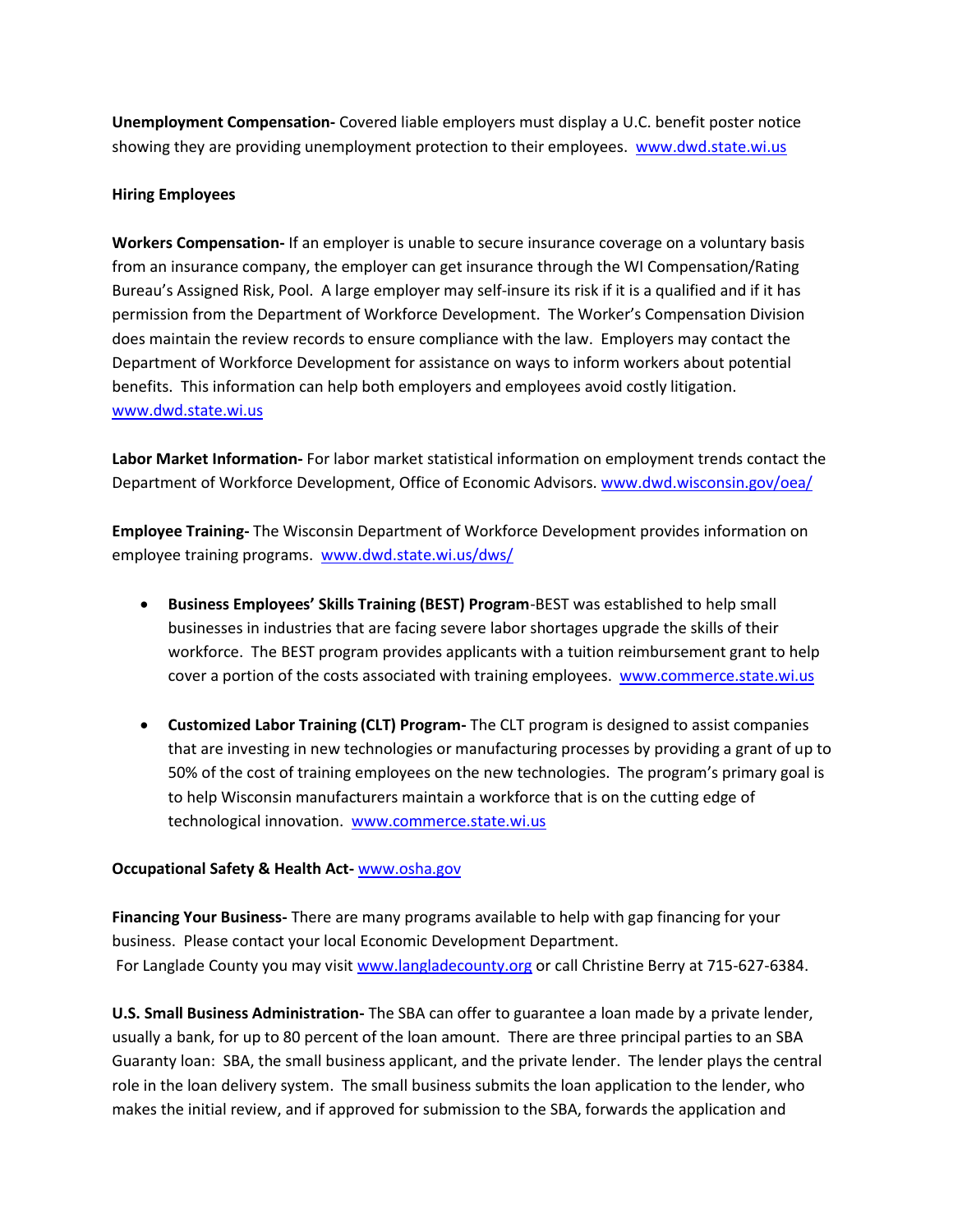**Unemployment Compensation-** Covered liable employers must display a U.C. benefit poster notice showing they are providing unemployment protection to their employees. [www.dwd.state.wi.us](http://www.dwd.state.wi.us/)

### **Hiring Employees**

**Workers Compensation-** If an employer is unable to secure insurance coverage on a voluntary basis from an insurance company, the employer can get insurance through the WI Compensation/Rating Bureau's Assigned Risk, Pool. A large employer may self-insure its risk if it is a qualified and if it has permission from the Department of Workforce Development. The Worker's Compensation Division does maintain the review records to ensure compliance with the law. Employers may contact the Department of Workforce Development for assistance on ways to inform workers about potential benefits. This information can help both employers and employees avoid costly litigation. [www.dwd.state.wi.us](http://www.dwd.state.wi.us/)

**Labor Market Information-** For labor market statistical information on employment trends contact the Department of Workforce Development, Office of Economic Advisors. [www.dwd.wisconsin.gov/oea/](http://www.dwd.wisconsin.gov/oea/)

**Employee Training-** The Wisconsin Department of Workforce Development provides information on employee training programs. [www.dwd.state.wi.us/dws/](http://www.dwd.state.wi.us/dws/)

- **Business Employees' Skills Training (BEST) Program**-BEST was established to help small businesses in industries that are facing severe labor shortages upgrade the skills of their workforce. The BEST program provides applicants with a tuition reimbursement grant to help cover a portion of the costs associated with training employees. [www.commerce.state.wi.us](http://www.commerce.state.wi.us/)
- **Customized Labor Training (CLT) Program-** The CLT program is designed to assist companies that are investing in new technologies or manufacturing processes by providing a grant of up to 50% of the cost of training employees on the new technologies. The program's primary goal is to help Wisconsin manufacturers maintain a workforce that is on the cutting edge of technological innovation. [www.commerce.state.wi.us](http://www.commerce.state.wi.us/)

#### **Occupational Safety & Health Act-** [www.osha.gov](http://www.osha.gov/)

**Financing Your Business-** There are many programs available to help with gap financing for your business. Please contact your local Economic Development Department. For Langlade County you may visit [www.langladecounty.org](http://www.langladecounty.org/) or call Christine Berry at 715-627-6384.

**U.S. Small Business Administration-** The SBA can offer to guarantee a loan made by a private lender, usually a bank, for up to 80 percent of the loan amount. There are three principal parties to an SBA Guaranty loan: SBA, the small business applicant, and the private lender. The lender plays the central role in the loan delivery system. The small business submits the loan application to the lender, who makes the initial review, and if approved for submission to the SBA, forwards the application and